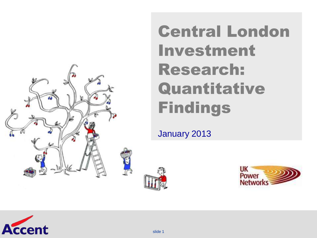

### Central London Investment Research: Quantitative Findings

January 2013





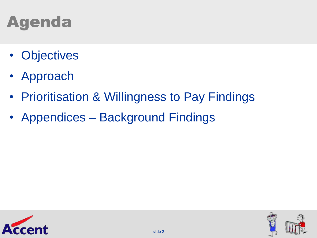## Agenda

- Objectives
- Approach
- Prioritisation & Willingness to Pay Findings
- Appendices Background Findings



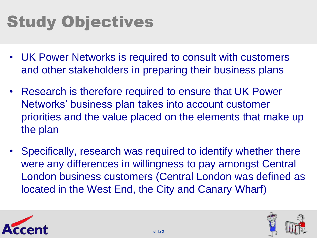# Study Objectives

- UK Power Networks is required to consult with customers and other stakeholders in preparing their business plans
- Research is therefore required to ensure that UK Power Networks" business plan takes into account customer priorities and the value placed on the elements that make up the plan
- Specifically, research was required to identify whether there were any differences in willingness to pay amongst Central London business customers (Central London was defined as located in the West End, the City and Canary Wharf)



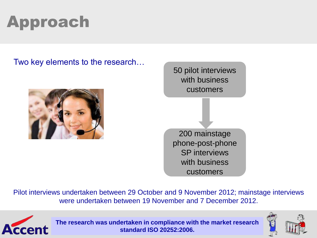# Approach

Two key elements to the research…



50 pilot interviews with business customers 200 mainstage phone-post-phone SP interviews with business customers

Pilot interviews undertaken between 29 October and 9 November 2012; mainstage interviews were undertaken between 19 November and 7 December 2012.



slide 4 **standard ISO 20252:2006. The research was undertaken in compliance with the market research** 

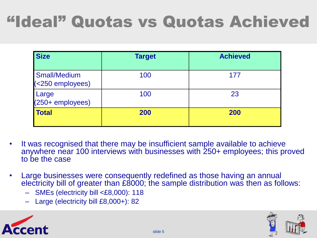## "Ideal" Quotas vs Quotas Achieved

| <b>Size</b>                             | <b>Target</b> | <b>Achieved</b> |
|-----------------------------------------|---------------|-----------------|
| <b>Small/Medium</b><br>(<250 employees) | 100           | 177             |
| Large<br>(250+ employees)               | 100           | 23              |
| <b>Total</b>                            | 200           | 200             |

- It was recognised that there may be insufficient sample available to achieve anywhere near 100 interviews with businesses with 250+ employees; this proved to be the case
- Large businesses were consequently redefined as those having an annual electricity bill of greater than £8000; the sample distribution was then as follows:
	- SMEs (electricity bill <£8,000): 118
	- Large (electricity bill £8,000+): 82



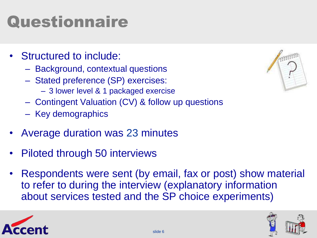# **Questionnaire**

- Structured to include:
	- Background, contextual questions
	- Stated preference (SP) exercises:
		- 3 lower level & 1 packaged exercise
	- Contingent Valuation (CV) & follow up questions
	- Key demographics
- Average duration was 23 minutes
- Piloted through 50 interviews
- Respondents were sent (by email, fax or post) show material to refer to during the interview (explanatory information about services tested and the SP choice experiments)





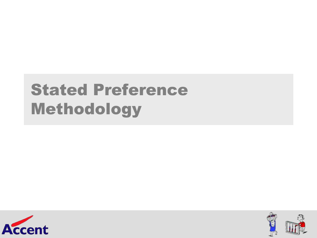### Stated Preference Methodology



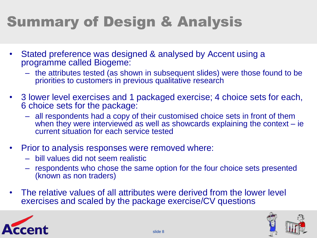### Summary of Design & Analysis

- Stated preference was designed & analysed by Accent using a programme called Biogeme:
	- the attributes tested (as shown in subsequent slides) were those found to be priorities to customers in previous qualitative research
- 3 lower level exercises and 1 packaged exercise; 4 choice sets for each, 6 choice sets for the package:
	- all respondents had a copy of their customised choice sets in front of them when they were interviewed as well as showcards explaining the context  $-$  ie current situation for each service tested
- Prior to analysis responses were removed where:
	- bill values did not seem realistic
	- respondents who chose the same option for the four choice sets presented (known as non traders)
- The relative values of all attributes were derived from the lower level exercises and scaled by the package exercise/CV questions



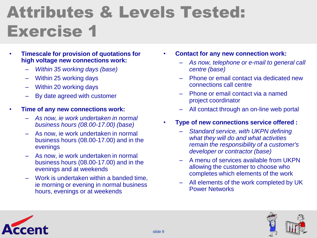### Attributes & Levels Tested: Exercise 1

- **Timescale for provision of quotations for high voltage new connections work:**
	- *Within 35 working days (base)*
	- Within 25 working days
	- Within 20 working days
	- By date agreed with customer
- **Time of any new connections work:**
	- *As now, ie work undertaken in normal business hours (08.00-17.00) (base)*
	- As now, ie work undertaken in normal business hours (08.00-17.00) and in the evenings
	- As now, ie work undertaken in normal business hours (08.00-17.00) and in the evenings and at weekends
	- Work is undertaken within a banded time, ie morning or evening in normal business hours, evenings or at weekends
- **Contact for any new connection work:**
	- *As now, telephone or e-mail to general call centre (base)*
	- Phone or email contact via dedicated new connections call centre
	- Phone or email contact via a named project coordinator
	- All contact through an on-line web portal
- **Type of new connections service offered :**
	- *Standard service, with UKPN defining what they will do and what activities remain the responsibility of a customer's developer or contractor (base)*
	- A menu of services available from UKPN allowing the customer to choose who completes which elements of the work
	- All elements of the work completed by UK Power Networks



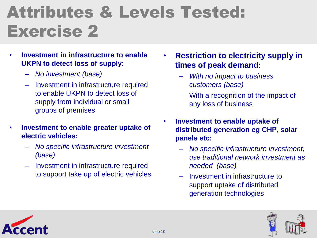## Attributes & Levels Tested: Exercise 2

- **Investment in infrastructure to enable UKPN to detect loss of supply:**
	- *No investment (base)*
	- Investment in infrastructure required to enable UKPN to detect loss of supply from individual or small groups of premises
- **Investment to enable greater uptake of electric vehicles:**
	- *No specific infrastructure investment (base)*
	- Investment in infrastructure required to support take up of electric vehicles
- **Restriction to electricity supply in times of peak demand:**
	- *With no impact to business customers (base)*
	- With a recognition of the impact of any loss of business
- **Investment to enable uptake of distributed generation eg CHP, solar panels etc:** 
	- *No specific infrastructure investment; use traditional network investment as needed (base)*
	- Investment in infrastructure to support uptake of distributed generation technologies



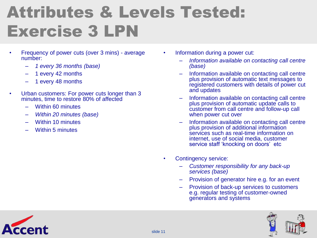## Attributes & Levels Tested: Exercise 3 LPN

- Frequency of power cuts (over 3 mins) average number:
	- *1 every 36 months (base)*
	- 1 every 42 months
	- 1 every 48 months
- Urban customers: For power cuts longer than 3 minutes, time to restore 80% of affected
	- Within 60 minutes
	- *Within 20 minutes (base)*
	- Within 10 minutes
	- Within 5 minutes
- Information during a power cut:
	- *Information available on contacting call centre (base)*
	- Information available on contacting call centre plus provision of automatic text messages to registered customers with details of power cut and updates
	- Information available on contacting call centre plus provision of automatic update calls to customer from call centre and follow-up call when power cut over
	- Information available on contacting call centre plus provision of additional information services such as real-time information on internet, use of social media, customer service staff 'knocking on doors' etc
- Contingency service:
	- *Customer responsibility for any back-up services (base)*
	- Provision of generator hire e.g. for an event
	- Provision of back-up services to customers e.g. regular testing of customer-owned generators and systems



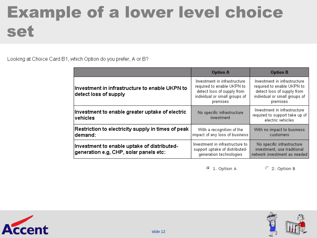### Example of a lower level choice set

Looking at Choice Card B1, which Option do you prefer, A or B?

|                                                                                       | <b>Option A</b>                                                                                                                       | <b>Option B</b>                                                                                                                       |
|---------------------------------------------------------------------------------------|---------------------------------------------------------------------------------------------------------------------------------------|---------------------------------------------------------------------------------------------------------------------------------------|
| Investment in infrastructure to enable UKPN to<br>detect loss of supply               | Investment in infrastructure<br>required to enable UKPN to<br>detect loss of supply from<br>individual or small groups of<br>premises | Investment in infrastructure<br>required to enable UKPN to<br>detect loss of supply from<br>individual or small groups of<br>premises |
| Investment to enable greater uptake of electric<br>∣vehicles.                         | No specific infrastructure<br>investment                                                                                              | Investment in infrastructure<br>required to support take up of<br>electric vehicles                                                   |
| Restriction to electricity supply in times of peak<br> demand:                        | With a recognition of the<br>impact of any loss of business                                                                           | With no impact to business<br>customers                                                                                               |
| Investment to enable uptake of distributed-<br>generation e.g, CHP, solar panels etc: | Investment in infrastructure to<br>support uptake of distributed-<br>generation technologies                                          | No specific infrastructure<br>investment; use traditional<br>network investment as needed                                             |



C 2. Option B



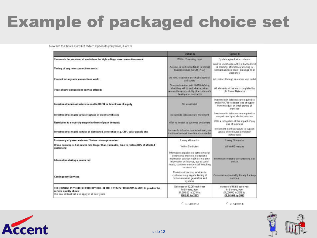### Example of packaged choice set

Now turn to Choice Card P3. Which Option do you prefer, A or B?

|                                                                                                                                                                        | <b>Option A</b>                                                                                                                                                                                                                  | <b>Option B</b>                                                                                                                    |
|------------------------------------------------------------------------------------------------------------------------------------------------------------------------|----------------------------------------------------------------------------------------------------------------------------------------------------------------------------------------------------------------------------------|------------------------------------------------------------------------------------------------------------------------------------|
| Timescale for provision of quotations for high voltage new connections work:                                                                                           | Within 35 working days                                                                                                                                                                                                           | By date agreed with customer                                                                                                       |
| Timing of any new connections work:                                                                                                                                    | As now, is work undertaken in normal<br>business hours (08.00-17.00)                                                                                                                                                             | Work is undertaken within a banded time<br>is moming, afternoon or evening in<br>normal business hours, evenings or at<br>weekends |
| Contact for any new connections work:                                                                                                                                  | As now, telephone or a-mail to general<br>call contra                                                                                                                                                                            | All contact through an on-line web portal                                                                                          |
| Type of new connections service offered:                                                                                                                               | Standard service, with UKPN defining<br>what they will do and what activities<br>remain the responsibility of a customer's<br>developer or contractor.                                                                           | All elements of the work completed by<br>UK Power Networks                                                                         |
| Investment in infrastructure to enable UKPN to detect less of supply                                                                                                   | No investment                                                                                                                                                                                                                    | investment in infrastructure required to<br>enable UKPN to detect loss of supply<br>from individual or small groups of<br>premises |
| Investment to enable greater uptake of electric vehicles                                                                                                               | No specific inhasbucture investment                                                                                                                                                                                              | investment in infrastructure required to<br>support take up of electric vehicles                                                   |
| Restriction to electricity supply in times of peak demand:                                                                                                             | With no impact to business customers                                                                                                                                                                                             | With a recognition of the impact of any<br>loss of business                                                                        |
| Investment to enable uptake of distributed generation e.g. CHP, solar panels etc:                                                                                      | No specific inhastructure investment, use<br>traditional network investment as needed                                                                                                                                            | Investment in infrastructure to support.<br>uptake of distributed-generation<br>technologies                                       |
| Frequency of power cuts over 3 mins - average number:                                                                                                                  | 1 every 48 months                                                                                                                                                                                                                | 1 every 36 months                                                                                                                  |
| Urban customers: For power cuts longer than 3 minutes, time to restore 80% of affected<br>customers:                                                                   | Within 5 minutes                                                                                                                                                                                                                 | Within 60 minutes                                                                                                                  |
| Information during a power cut:                                                                                                                                        | Information available on contacting call<br>centre plus provision of additional<br>information services such as real-time<br>information on internet, use of social<br>media, customer service staff linocking<br>on doors' atc. | Information available on contacting call<br>centre                                                                                 |
| <b>Contingency Services</b>                                                                                                                                            | Provision of back-up services to<br>customers e.g. regular testing of<br>customer-owned generators and<br>systems                                                                                                                | Customer responsibility for any back-up<br>ERNICES                                                                                 |
| THE CHANGE IN YOUR ELECTRICITY BILL IN THE 8 YEARS FROM 2015 to 2023 to provide the<br>service quality above<br>The new bill level will also apply in all later years. | Decrease of £2.25 each year<br>for 8 years, from<br>£1,000.00 in 2015 to<br>£982.00 by 2023                                                                                                                                      | Increase of £5.63 each year<br>for 8 years, from<br>£1,000.00 in 2015 to<br>£1,045.00 by 2023                                      |

C 1. Option A

 $C$  2. Option B



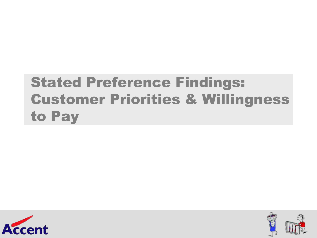### Stated Preference Findings: Customer Priorities & Willingness to Pay



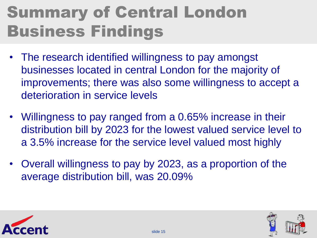## Summary of Central London Business Findings

- The research identified willingness to pay amongst businesses located in central London for the majority of improvements; there was also some willingness to accept a deterioration in service levels
- Willingness to pay ranged from a 0.65% increase in their distribution bill by 2023 for the lowest valued service level to a 3.5% increase for the service level valued most highly
- Overall willingness to pay by 2023, as a proportion of the average distribution bill, was 20.09%



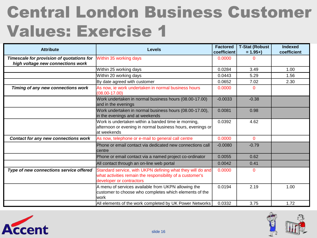### Central London Business Customer Values: Exercise 1

| <b>Attribute</b>                                                               | <b>Levels</b>                                                                                                                                       | <b>Factored</b><br>coefficient | <b>T-Stat (Robust</b><br>$= 1.95 +$ | Indexed<br>coefficient |
|--------------------------------------------------------------------------------|-----------------------------------------------------------------------------------------------------------------------------------------------------|--------------------------------|-------------------------------------|------------------------|
| Timescale for provision of quotations for<br>high voltage new connections work | Within 35 working days                                                                                                                              | 0.0000                         | ი                                   |                        |
|                                                                                | Within 25 working days                                                                                                                              | 0.0284                         | 3.49                                | 1.00                   |
|                                                                                | Within 20 working days                                                                                                                              | 0.0443                         | 5.29                                | 1.56                   |
|                                                                                | By date agreed with customer                                                                                                                        | 0.0652                         | 7.02                                | 2.30                   |
| Timing of any new connections work                                             | As now, ie work undertaken in normal business hours<br>$(08.00 - 17.00)$                                                                            | 0.0000                         | 0                                   |                        |
|                                                                                | Work undertaken in normal business hours (08.00-17.00)<br>and in the evenings                                                                       | $-0.0033$                      | $-0.38$                             |                        |
|                                                                                | Work undertaken in normal business hours (08.00-17.00),<br>in the evenings and at weekends                                                          | 0.0081                         | 0.98                                |                        |
|                                                                                | Work is undertaken within a banded time ie morning,<br>afternoon or evening in normal business hours, evenings or<br>at weekends                    | 0.0392                         | 4.62                                |                        |
| Contact for any new connections work                                           | As now, telephone or e-mail to general call centre                                                                                                  | 0.0000                         | $\Omega$                            |                        |
|                                                                                | Phone or email contact via dedicated new connections call<br><b>centre</b>                                                                          | $-0.0080$                      | $-0.79$                             |                        |
|                                                                                | Phone or email contact via a named project co-ordinator                                                                                             | 0.0055                         | 0.62                                |                        |
|                                                                                | All contact through an on-line web portal                                                                                                           | 0.0042                         | 0.41                                |                        |
| Type of new connections service offered                                        | Standard service, with UKPN defining what they will do and<br>what activities remain the responsibility of a customer's<br>developer or contractors | 0.0000                         | 0                                   |                        |
|                                                                                | A menu of services available from UKPN allowing the<br>customer to choose who completes which elements of the<br>lwork                              | 0.0194                         | 2.19                                | 1.00                   |
|                                                                                | All elements of the work completed by UK Power Networks                                                                                             | 0.0332                         | 3.75                                | 1.72                   |



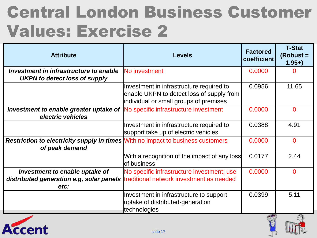### Central London Business Customer Values: Exercise 2

| <b>Attribute</b>                                                                                                            | <b>Levels</b>                                                                                                                   | <b>Factored</b><br>coefficient            | <b>T-Stat</b><br>(Robust =<br>$1.95+$ |
|-----------------------------------------------------------------------------------------------------------------------------|---------------------------------------------------------------------------------------------------------------------------------|-------------------------------------------|---------------------------------------|
| Investment in infrastructure to enable                                                                                      | No investment                                                                                                                   | 0.0000                                    | O                                     |
| <b>UKPN to detect loss of supply</b>                                                                                        |                                                                                                                                 |                                           |                                       |
|                                                                                                                             | Investment in infrastructure required to<br>enable UKPN to detect loss of supply from<br>individual or small groups of premises | 0.0956                                    | 11.65                                 |
| <b>Investment to enable greater uptake of No specific infrastructure investment</b><br>electric vehicles                    |                                                                                                                                 | 0.0000                                    | $\overline{0}$                        |
|                                                                                                                             | Investment in infrastructure required to<br>support take up of electric vehicles                                                | 0.0388                                    | 4.91                                  |
| <b>Restriction to electricity supply in times With no impact to business customers</b><br>of peak demand                    |                                                                                                                                 | 0.0000                                    | $\Omega$                              |
|                                                                                                                             | With a recognition of the impact of any loss<br>lof business                                                                    | 0.0177                                    | 2.44                                  |
| Investment to enable uptake of<br>distributed generation e.g, solar panels traditional network investment as needed<br>etc: | No specific infrastructure investment; use                                                                                      | 0.0000                                    | $\overline{0}$                        |
|                                                                                                                             | Investment in infrastructure to support<br>uptake of distributed-generation<br>technologies                                     | 0.0399<br>$\frac{1}{2}$ and $\frac{1}{2}$ | 5.11<br>m.                            |

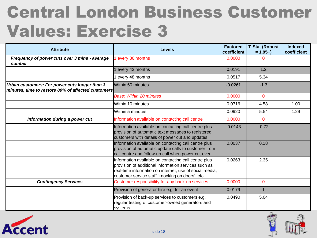### Central London Business Customer Values: Exercise 3

| <b>Attribute</b>                                                                                    | <b>Levels</b>                                                                                                                                                                                                             | <b>Factored</b><br>coefficient | <b>T-Stat (Robust</b><br>$= 1.95 +$ | <b>Indexed</b><br>coefficient |
|-----------------------------------------------------------------------------------------------------|---------------------------------------------------------------------------------------------------------------------------------------------------------------------------------------------------------------------------|--------------------------------|-------------------------------------|-------------------------------|
| Frequency of power cuts over 3 mins - average<br>number                                             | every 36 months                                                                                                                                                                                                           | 0.0000                         | O                                   |                               |
|                                                                                                     | every 42 months                                                                                                                                                                                                           | 0.0191                         | 1.2                                 |                               |
|                                                                                                     | every 48 months                                                                                                                                                                                                           | 0.0517                         | 5.34                                |                               |
| Urban customers: For power cuts longer than 3<br>minutes, time to restore 80% of affected customers | Within 60 minutes                                                                                                                                                                                                         | $-0.0261$                      | $-1.3$                              |                               |
|                                                                                                     | Base: Within 20 minutes                                                                                                                                                                                                   | 0.0000                         | $\Omega$                            |                               |
|                                                                                                     | Within 10 minutes                                                                                                                                                                                                         | 0.0716                         | 4.58                                | 1.00                          |
|                                                                                                     | Within 5 minutes                                                                                                                                                                                                          | 0.0920                         | 5.54                                | 1.29                          |
| Information during a power cut                                                                      | Information available on contacting call centre                                                                                                                                                                           | 0.0000                         | $\Omega$                            |                               |
|                                                                                                     | Information available on contacting call centre plus<br>provision of automatic text messages to registered<br>customers with details of power cut and updates                                                             | $-0.0143$                      | $-0.72$                             |                               |
|                                                                                                     | Information available on contacting call centre plus<br>provision of automatic update calls to customer from<br>call centre and follow-up call when power cut over                                                        | 0.0037                         | 0.18                                |                               |
|                                                                                                     | Information available on contacting call centre plus<br>provision of additional information services such as<br>real-time information on internet, use of social media,<br>customer service staff 'knocking on doors' etc | 0.0263                         | 2.35                                |                               |
| <b>Contingency Services</b>                                                                         | Customer responsibility for any back-up services                                                                                                                                                                          | 0.0000                         | $\overline{0}$                      |                               |
|                                                                                                     | Provision of generator hire e.g. for an event                                                                                                                                                                             | 0.0179                         |                                     |                               |
|                                                                                                     | Provision of back-up services to customers e.g.<br>regular testing of customer-owned generators and<br>systems                                                                                                            | 0.0490                         | 5.04                                |                               |



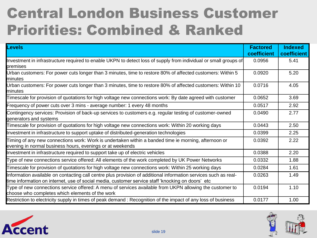### Central London Business Customer Priorities: Combined & Ranked

| Levels                                                                                                                                                                                                               | <b>Factored</b><br>coefficient | <b>Indexed</b><br>coefficient |
|----------------------------------------------------------------------------------------------------------------------------------------------------------------------------------------------------------------------|--------------------------------|-------------------------------|
| Investment in infrastructure required to enable UKPN to detect loss of supply from individual or small groups of<br>premises                                                                                         | 0.0956                         | 5.41                          |
| Urban customers: For power cuts longer than 3 minutes, time to restore 80% of affected customers: Within 5<br>minutes                                                                                                | 0.0920                         | 5.20                          |
| Urban customers: For power cuts longer than 3 minutes, time to restore 80% of affected customers: Within 10<br>minutes                                                                                               | 0.0716                         | 4.05                          |
| Timescale for provision of quotations for high voltage new connections work: By date agreed with customer                                                                                                            | 0.0652                         | 3.69                          |
| Frequency of power cuts over 3 mins - average number: 1 every 48 months                                                                                                                                              | 0.0517                         | 2.92                          |
| Contingency services: Provision of back-up services to customers e.g. regular testing of customer-owned<br>generators and systems                                                                                    | 0.0490                         | 2.77                          |
| Timescale for provision of quotations for high voltage new connections work: Within 20 working days                                                                                                                  | 0.0443                         | 2.50                          |
| Investment in infrastructure to support uptake of distributed-generation technologies                                                                                                                                | 0.0399                         | 2.25                          |
| Timing of any new connections work: Work is undertaken within a banded time ie morning, afternoon or<br>evening in normal business hours, evenings or at weekends                                                    | 0.0392                         | 2.22                          |
| Investment in infrastructure required to support take up of electric vehicles                                                                                                                                        | 0.0388                         | 2.20                          |
| Type of new connections service offered: All elements of the work completed by UK Power Networks                                                                                                                     | 0.0332                         | 1.88                          |
| Timescale for provision of quotations for high voltage new connections work: Within 25 working days                                                                                                                  | 0.0284                         | 1.61                          |
| Information available on contacting call centre plus provision of additional information services such as real-<br>time information on internet, use of social media, customer service staff 'knocking on doors' etc | 0.0263                         | 1.49                          |
| Type of new connections service offered: A menu of services available from UKPN allowing the customer to<br>choose who completes which elements of the work                                                          | 0.0194                         | 1.10                          |
| Restriction to electricity supply in times of peak demand: Recognition of the impact of any loss of business                                                                                                         | 0.0177                         | 1.00                          |



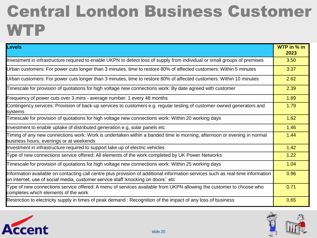### Central London Business Customer **WTP**

| Levels                                                                                                                                                                                                              | WTP in % in<br>2023 |
|---------------------------------------------------------------------------------------------------------------------------------------------------------------------------------------------------------------------|---------------------|
| Investment in infrastructure required to enable UKPN to detect loss of supply from individual or small groups of premises                                                                                           | 3.50                |
| Urban customers: For power cuts longer than 3 minutes, time to restore 80% of affected customers: Within 5 minutes                                                                                                  | 3.37                |
| Urban customers: For power cuts longer than 3 minutes, time to restore 80% of affected customers: Within 10 minutes                                                                                                 | 2.62                |
| Timescale for provision of quotations for high voltage new connections work: By date agreed with customer                                                                                                           | 2.39                |
| Frequency of power cuts over 3 mins - average number: 1 every 48 months                                                                                                                                             | 1.89                |
| Contingency services: Provision of back-up services to customers e.g. regular testing of customer-owned generators and<br>systems                                                                                   | 1.79                |
| Timescale for provision of quotations for high voltage new connections work: Within 20 working days                                                                                                                 | 1.62                |
| Investment to enable uptake of distributed generation e.g, solar panels etc                                                                                                                                         | 1.46                |
| Timing of any new connections work: Work is undertaken within a banded time ie morning, afternoon or evening in normal<br>business hours, evenings or at weekends                                                   | 1.44                |
| Investment in infrastructure required to support take up of electric vehicles                                                                                                                                       | 1.42                |
| Type of new connections service offered: All elements of the work completed by UK Power Networks                                                                                                                    | 1.22                |
| Timescale for provision of quotations for high voltage new connections work: Within 25 working days                                                                                                                 | 1.04                |
| Information available on contacting call centre plus provision of additional information services such as real-time information<br>on internet, use of social media, customer service staff 'knocking on doors' etc | 0.96                |
| Type of new connections service offered: A menu of services available from UKPN allowing the customer to choose who<br>completes which elements of the work                                                         | 0.71                |
| Restriction to electricity supply in times of peak demand: Recognition of the impact of any loss of business                                                                                                        | 0.65                |



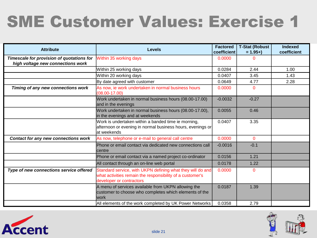## SME Customer Values: Exercise 1

| <b>Attribute</b>                                                               | <b>Levels</b>                                                                                                                                       | <b>Factored</b><br>coefficient | <b>T-Stat (Robust</b><br>$= 1.95 +$ | <b>Indexed</b><br>coefficient |
|--------------------------------------------------------------------------------|-----------------------------------------------------------------------------------------------------------------------------------------------------|--------------------------------|-------------------------------------|-------------------------------|
| Timescale for provision of quotations for<br>high voltage new connections work | Within 35 working days                                                                                                                              | 0.0000                         |                                     |                               |
|                                                                                | Within 25 working days                                                                                                                              | 0.0284                         | 2.44                                | 1.00                          |
|                                                                                | Within 20 working days                                                                                                                              | 0.0407                         | 3.45                                | 1.43                          |
|                                                                                | By date agreed with customer                                                                                                                        | 0.0649                         | 4.77                                | 2.28                          |
| Timing of any new connections work                                             | As now, ie work undertaken in normal business hours<br>$(08.00 - 17.00)$                                                                            | 0.0000                         | 0                                   |                               |
|                                                                                | Work undertaken in normal business hours (08.00-17.00)<br>and in the evenings                                                                       | $-0.0032$                      | $-0.27$                             |                               |
|                                                                                | Work undertaken in normal business hours (08.00-17.00),<br>in the evenings and at weekends                                                          | 0.0055                         | 0.46                                |                               |
|                                                                                | Work is undertaken within a banded time ie morning,<br>afternoon or evening in normal business hours, evenings or<br>at weekends                    | 0.0407                         | 3.35                                |                               |
| Contact for any new connections work                                           | As now, telephone or e-mail to general call centre                                                                                                  | 0.0000                         | $\Omega$                            |                               |
|                                                                                | Phone or email contact via dedicated new connections call<br>centre                                                                                 | $-0.0016$                      | $-0.1$                              |                               |
|                                                                                | Phone or email contact via a named project co-ordinator                                                                                             | 0.0156                         | 1.21                                |                               |
|                                                                                | All contact through an on-line web portal                                                                                                           | 0.0178                         | 1.22                                |                               |
| Type of new connections service offered                                        | Standard service, with UKPN defining what they will do and<br>what activities remain the responsibility of a customer's<br>developer or contractors | 0.0000                         | 0                                   |                               |
|                                                                                | A menu of services available from UKPN allowing the<br>customer to choose who completes which elements of the<br>work                               | 0.0187                         | 1.39                                |                               |
|                                                                                | All elements of the work completed by UK Power Networks                                                                                             | 0.0358                         | 2.79                                |                               |



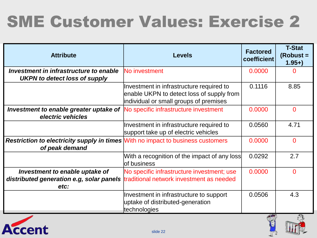# SME Customer Values: Exercise 2

| <b>Attribute</b>                                                                                         | <b>Levels</b>                                                                                                                   | <b>Factored</b><br>coefficient | <b>T-Stat</b><br>$(Robust =$<br>$1.95+$ |
|----------------------------------------------------------------------------------------------------------|---------------------------------------------------------------------------------------------------------------------------------|--------------------------------|-----------------------------------------|
| Investment in infrastructure to enable<br>UKPN to detect loss of supply                                  | No investment                                                                                                                   | 0.0000                         | 0                                       |
|                                                                                                          | Investment in infrastructure required to<br>enable UKPN to detect loss of supply from<br>individual or small groups of premises | 0.1116                         | 8.85                                    |
| <b>Investment to enable greater uptake of No specific infrastructure investment</b><br>electric vehicles |                                                                                                                                 | 0.0000                         | $\Omega$                                |
|                                                                                                          | Investment in infrastructure required to<br>support take up of electric vehicles                                                | 0.0560                         | 4.71                                    |
| <b>Restriction to electricity supply in times With no impact to business customers</b><br>of peak demand |                                                                                                                                 | 0.0000                         | $\Omega$                                |
|                                                                                                          | With a recognition of the impact of any loss<br>lof business                                                                    | 0.0292                         | 2.7                                     |
| Investment to enable uptake of<br>distributed generation e.g, solar panels<br>etc:                       | No specific infrastructure investment; use<br>traditional network investment as needed                                          | 0.0000                         | $\Omega$                                |
|                                                                                                          | Investment in infrastructure to support<br>uptake of distributed-generation<br>technologies                                     | 0.0506<br>100                  | 4.3<br>$\pi_{\infty}$                   |

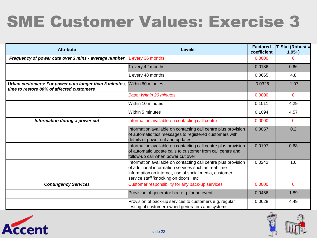## SME Customer Values: Exercise 3

| <b>Attribute</b>                                                                                    | <b>Levels</b>                                                                                                                                                                                                             | <b>Factored</b><br>coefficient | T-Stat (Robust =<br>$1.95+$ |
|-----------------------------------------------------------------------------------------------------|---------------------------------------------------------------------------------------------------------------------------------------------------------------------------------------------------------------------------|--------------------------------|-----------------------------|
| Frequency of power cuts over 3 mins - average number                                                | every 36 months                                                                                                                                                                                                           | 0.0000                         | 0                           |
|                                                                                                     | every 42 months                                                                                                                                                                                                           | 0.0136                         | 0.66                        |
|                                                                                                     | every 48 months                                                                                                                                                                                                           | 0.0665                         | 4.8                         |
| Urban customers: For power cuts longer than 3 minutes,<br>time to restore 80% of affected customers | Within 60 minutes                                                                                                                                                                                                         | $-0.0326$                      | $-1.07$                     |
|                                                                                                     | <b>Base: Within 20 minutes</b>                                                                                                                                                                                            | 0.0000                         | $\mathbf{0}$                |
|                                                                                                     | Within 10 minutes                                                                                                                                                                                                         | 0.1011                         | 4.29                        |
|                                                                                                     | Within 5 minutes                                                                                                                                                                                                          | 0.1094                         | 4.57                        |
| Information during a power cut                                                                      | Information available on contacting call centre                                                                                                                                                                           | 0.0000                         | $\Omega$                    |
|                                                                                                     | Information available on contacting call centre plus provision<br>of automatic text messages to registered customers with<br>details of power cut and updates                                                             | 0.0057                         | 0.2                         |
|                                                                                                     | Information available on contacting call centre plus provision<br>of automatic update calls to customer from call centre and<br>follow-up call when power cut over                                                        | 0.0197                         | 0.68                        |
|                                                                                                     | Information available on contacting call centre plus provision<br>of additional information services such as real-time<br>information on internet, use of social media, customer<br>service staff 'knocking on doors' etc | 0.0242                         | 1.6                         |
| <b>Contingency Services</b>                                                                         | Customer responsibility for any back-up services                                                                                                                                                                          | 0.0000                         | $\Omega$                    |
|                                                                                                     | Provision of generator hire e.g. for an event                                                                                                                                                                             | 0.0456                         | 1.89                        |
|                                                                                                     | Provision of back-up services to customers e.g. regular<br>testing of customer-owned generators and systems                                                                                                               | 0.0628                         | 4.49                        |



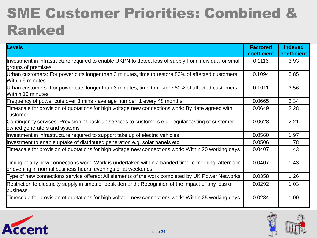### SME Customer Priorities: Combined & Ranked

| Levels                                                                                                                                                            | <b>Factored</b><br>coefficient | <b>Indexed</b><br>coefficient |
|-------------------------------------------------------------------------------------------------------------------------------------------------------------------|--------------------------------|-------------------------------|
| Investment in infrastructure required to enable UKPN to detect loss of supply from individual or small<br>groups of premises                                      | 0.1116                         | 3.93                          |
| Urban customers: For power cuts longer than 3 minutes, time to restore 80% of affected customers:<br><b>Within 5 minutes</b>                                      | 0.1094                         | 3.85                          |
| Urban customers: For power cuts longer than 3 minutes, time to restore 80% of affected customers:<br><b>Within 10 minutes</b>                                     | 0.1011                         | 3.56                          |
| Frequency of power cuts over 3 mins - average number: 1 every 48 months                                                                                           | 0.0665                         | 2.34                          |
| Timescale for provision of quotations for high voltage new connections work: By date agreed with<br>customer                                                      | 0.0649                         | 2.28                          |
| Contingency services: Provision of back-up services to customers e.g. regular testing of customer-<br>owned generators and systems                                | 0.0628                         | 2.21                          |
| Investment in infrastructure required to support take up of electric vehicles                                                                                     | 0.0560                         | 1.97                          |
| Investment to enable uptake of distributed generation e.g, solar panels etc                                                                                       | 0.0506                         | 1.78                          |
| Timescale for provision of quotations for high voltage new connections work: Within 20 working days                                                               | 0.0407                         | 1.43                          |
| Timing of any new connections work: Work is undertaken within a banded time ie morning, afternoon<br>or evening in normal business hours, evenings or at weekends | 0.0407                         | 1.43                          |
| Type of new connections service offered: All elements of the work completed by UK Power Networks                                                                  | 0.0358                         | 1.26                          |
| Restriction to electricity supply in times of peak demand: Recognition of the impact of any loss of<br>business                                                   | 0.0292                         | 1.03                          |
| Timescale for provision of quotations for high voltage new connections work: Within 25 working days                                                               | 0.0284                         | 1.00                          |



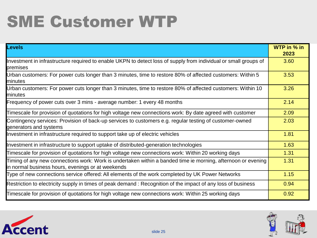## SME Customer WTP

| Levels                                                                                                                                                            | WTP in $%$ in<br>2023 |
|-------------------------------------------------------------------------------------------------------------------------------------------------------------------|-----------------------|
| Investment in infrastructure required to enable UKPN to detect loss of supply from individual or small groups of<br>premises                                      | 3.60                  |
| Urban customers: For power cuts longer than 3 minutes, time to restore 80% of affected customers: Within 5<br>minutes                                             | 3.53                  |
| Urban customers: For power cuts longer than 3 minutes, time to restore 80% of affected customers: Within 10<br>minutes                                            | 3.26                  |
| Frequency of power cuts over 3 mins - average number: 1 every 48 months                                                                                           | 2.14                  |
| Timescale for provision of quotations for high voltage new connections work: By date agreed with customer                                                         | 2.09                  |
| Contingency services: Provision of back-up services to customers e.g. regular testing of customer-owned<br>generators and systems                                 | 2.03                  |
| Investment in infrastructure required to support take up of electric vehicles                                                                                     | 1.81                  |
| Investment in infrastructure to support uptake of distributed-generation technologies                                                                             | 1.63                  |
| Timescale for provision of quotations for high voltage new connections work: Within 20 working days                                                               | 1.31                  |
| Timing of any new connections work: Work is undertaken within a banded time ie morning, afternoon or evening<br>in normal business hours, evenings or at weekends | 1.31                  |
| Type of new connections service offered: All elements of the work completed by UK Power Networks                                                                  | 1.15                  |
| Restriction to electricity supply in times of peak demand: Recognition of the impact of any loss of business                                                      | 0.94                  |
| Timescale for provision of quotations for high voltage new connections work: Within 25 working days                                                               | 0.92                  |



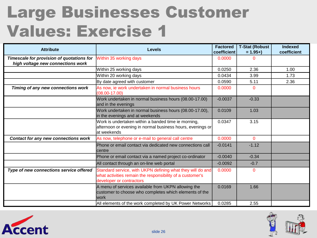### Large Businesses Customer Values: Exercise 1

| <b>Attribute</b>                                                               | <b>Levels</b>                                                                                                                                       | <b>Factored</b><br>coefficient | <b>T-Stat (Robust</b><br>$= 1.95 +$ | <b>Indexed</b><br>coefficient |
|--------------------------------------------------------------------------------|-----------------------------------------------------------------------------------------------------------------------------------------------------|--------------------------------|-------------------------------------|-------------------------------|
| Timescale for provision of quotations for<br>high voltage new connections work | Within 35 working days                                                                                                                              | 0.0000                         | ი                                   |                               |
|                                                                                | Within 25 working days                                                                                                                              | 0.0250                         | 2.36                                | 1.00                          |
|                                                                                | Within 20 working days                                                                                                                              | 0.0434                         | 3.99                                | 1.73                          |
|                                                                                | By date agreed with customer                                                                                                                        | 0.0590                         | 5.11                                | 2.36                          |
| Timing of any new connections work                                             | As now, ie work undertaken in normal business hours<br>$(08.00 - 17.00)$                                                                            | 0.0000                         | 0                                   |                               |
|                                                                                | Work undertaken in normal business hours (08.00-17.00)<br>and in the evenings                                                                       | $-0.0037$                      | $-0.33$                             |                               |
|                                                                                | Work undertaken in normal business hours (08.00-17.00),<br>in the evenings and at weekends                                                          | 0.0109                         | 1.03                                |                               |
|                                                                                | Work is undertaken within a banded time ie morning,<br>afternoon or evening in normal business hours, evenings or<br>at weekends                    | 0.0347                         | 3.15                                |                               |
| <b>Contact for any new connections work</b>                                    | As now, telephone or e-mail to general call centre                                                                                                  | 0.0000                         | $\Omega$                            |                               |
|                                                                                | Phone or email contact via dedicated new connections call<br>centre                                                                                 | $-0.0141$                      | $-1.12$                             |                               |
|                                                                                | Phone or email contact via a named project co-ordinator                                                                                             | $-0.0040$                      | $-0.34$                             |                               |
|                                                                                | All contact through an on-line web portal                                                                                                           | $-0.0092$                      | $-0.7$                              |                               |
| Type of new connections service offered                                        | Standard service, with UKPN defining what they will do and<br>what activities remain the responsibility of a customer's<br>developer or contractors | 0.0000                         | 0                                   |                               |
|                                                                                | A menu of services available from UKPN allowing the<br>customer to choose who completes which elements of the<br>lwork                              | 0.0169                         | 1.66                                |                               |
|                                                                                | All elements of the work completed by UK Power Networks                                                                                             | 0.0285                         | 2.55                                |                               |



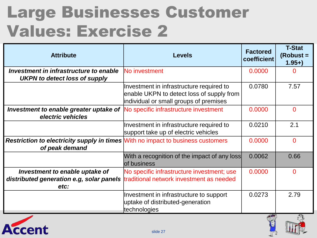### Large Businesses Customer Values: Exercise 2

| <b>Attribute</b>                                                                                         | <b>Levels</b>                                                                               | <b>Factored</b><br>coefficient | <b>T-Stat</b><br>$(Robust =$<br>$1.95+$ |
|----------------------------------------------------------------------------------------------------------|---------------------------------------------------------------------------------------------|--------------------------------|-----------------------------------------|
| Investment in infrastructure to enable                                                                   | No investment                                                                               | 0.0000                         | $\Omega$                                |
| <b>UKPN to detect loss of supply</b>                                                                     |                                                                                             |                                |                                         |
|                                                                                                          | Investment in infrastructure required to                                                    | 0.0780                         | 7.57                                    |
|                                                                                                          | enable UKPN to detect loss of supply from<br>individual or small groups of premises         |                                |                                         |
| <b>Investment to enable greater uptake of No specific infrastructure investment</b><br>electric vehicles |                                                                                             | 0.0000                         | $\Omega$                                |
|                                                                                                          | Investment in infrastructure required to<br>support take up of electric vehicles            | 0.0210                         | 2.1                                     |
| <b>Restriction to electricity supply in times With no impact to business customers</b><br>of peak demand |                                                                                             | 0.0000                         | $\overline{0}$                          |
|                                                                                                          | With a recognition of the impact of any loss<br>of business                                 | 0.0062                         | 0.66                                    |
| Investment to enable uptake of                                                                           | No specific infrastructure investment; use                                                  | 0.0000                         | $\overline{0}$                          |
| distributed generation e.g, solar panels traditional network investment as needed                        |                                                                                             |                                |                                         |
| etc:                                                                                                     |                                                                                             |                                |                                         |
|                                                                                                          | Investment in infrastructure to support<br>uptake of distributed-generation<br>technologies | 0.0273                         | 2.79                                    |
|                                                                                                          |                                                                                             |                                | ోం                                      |

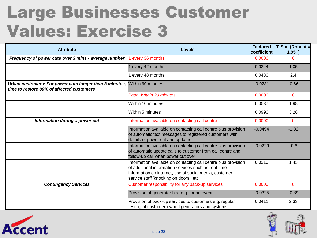### Large Businesses Customer Values: Exercise 3

| <b>Attribute</b>                                                                                                      | <b>Levels</b>                                                                                                                                                                                                              | <b>Factored</b><br>coefficient | T-Stat (Robust =<br>$1.95+$ |
|-----------------------------------------------------------------------------------------------------------------------|----------------------------------------------------------------------------------------------------------------------------------------------------------------------------------------------------------------------------|--------------------------------|-----------------------------|
| Frequency of power cuts over 3 mins - average number                                                                  | every 36 months                                                                                                                                                                                                            | 0.0000                         | $\Omega$                    |
|                                                                                                                       | every 42 months                                                                                                                                                                                                            | 0.0344                         | 1.05                        |
|                                                                                                                       | every 48 months                                                                                                                                                                                                            | 0.0430                         | 2.4                         |
| Urban customers: For power cuts longer than 3 minutes, Within 60 minutes<br>time to restore 80% of affected customers |                                                                                                                                                                                                                            | $-0.0231$                      | $-0.66$                     |
|                                                                                                                       | <b>Base: Within 20 minutes</b>                                                                                                                                                                                             | 0.0000                         | $\Omega$                    |
|                                                                                                                       | Within 10 minutes                                                                                                                                                                                                          | 0.0537                         | 1.98                        |
|                                                                                                                       | Within 5 minutes                                                                                                                                                                                                           | 0.0990                         | 3.28                        |
| Information during a power cut                                                                                        | Information available on contacting call centre                                                                                                                                                                            | 0.0000                         | $\Omega$                    |
|                                                                                                                       | Information available on contacting call centre plus provision<br>of automatic text messages to registered customers with<br>details of power cut and updates                                                              | $-0.0494$                      | $-1.32$                     |
|                                                                                                                       | Information available on contacting call centre plus provision<br>of automatic update calls to customer from call centre and<br>follow-up call when power cut over                                                         | $-0.0229$                      | $-0.6$                      |
|                                                                                                                       | Information available on contacting call centre plus provision<br>lof additional information services such as real-time<br>information on internet, use of social media, customer<br>service staff 'knocking on doors' etc | 0.0310                         | 1.43                        |
| <b>Contingency Services</b>                                                                                           | Customer responsibility for any back-up services                                                                                                                                                                           | 0.0000                         | $\mathbf 0$                 |
|                                                                                                                       | Provision of generator hire e.g. for an event                                                                                                                                                                              | $-0.0325$                      | $-0.89$                     |
|                                                                                                                       | Provision of back-up services to customers e.g. regular<br>testing of customer-owned generators and systems                                                                                                                | 0.0411                         | 2.33                        |



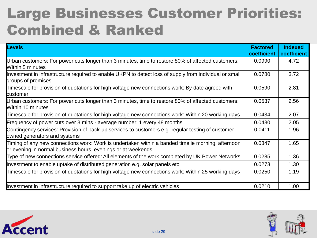### Large Businesses Customer Priorities: Combined & Ranked

| Levels                                                                                                                                                            | <b>Factored</b><br>coefficient | <b>Indexed</b><br>coefficient |
|-------------------------------------------------------------------------------------------------------------------------------------------------------------------|--------------------------------|-------------------------------|
| Urban customers: For power cuts longer than 3 minutes, time to restore 80% of affected customers:<br><b>Within 5 minutes</b>                                      | 0.0990                         | 4.72                          |
| Investment in infrastructure required to enable UKPN to detect loss of supply from individual or small<br>groups of premises                                      | 0.0780                         | 3.72                          |
| Timescale for provision of quotations for high voltage new connections work: By date agreed with<br>customer                                                      | 0.0590                         | 2.81                          |
| Urban customers: For power cuts longer than 3 minutes, time to restore 80% of affected customers:<br><b>Within 10 minutes</b>                                     | 0.0537                         | 2.56                          |
| Timescale for provision of quotations for high voltage new connections work: Within 20 working days                                                               | 0.0434                         | 2.07                          |
| Frequency of power cuts over 3 mins - average number: 1 every 48 months                                                                                           | 0.0430                         | 2.05                          |
| Contingency services: Provision of back-up services to customers e.g. regular testing of customer-<br>owned generators and systems                                | 0.0411                         | 1.96                          |
| Timing of any new connections work: Work is undertaken within a banded time ie morning, afternoon<br>or evening in normal business hours, evenings or at weekends | 0.0347                         | 1.65                          |
| Type of new connections service offered: All elements of the work completed by UK Power Networks                                                                  | 0.0285                         | 1.36                          |
| Investment to enable uptake of distributed generation e.g, solar panels etc                                                                                       | 0.0273                         | 1.30                          |
| Timescale for provision of quotations for high voltage new connections work: Within 25 working days                                                               | 0.0250                         | 1.19                          |
| Investment in infrastructure required to support take up of electric vehicles                                                                                     | 0.0210                         | 1.00                          |



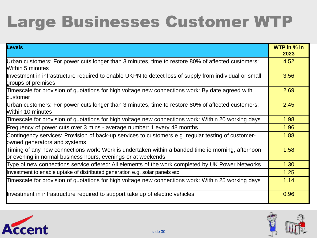## Large Businesses Customer WTP

| <b>Levels</b>                                                                                                                                                     | WTP in % in<br>2023 |
|-------------------------------------------------------------------------------------------------------------------------------------------------------------------|---------------------|
| Urban customers: For power cuts longer than 3 minutes, time to restore 80% of affected customers:<br><b>Within 5 minutes</b>                                      | 4.52                |
| Investment in infrastructure required to enable UKPN to detect loss of supply from individual or small<br>groups of premises                                      | 3.56                |
| Timescale for provision of quotations for high voltage new connections work: By date agreed with<br><b>l</b> customer                                             | 2.69                |
| Urban customers: For power cuts longer than 3 minutes, time to restore 80% of affected customers:<br><b>Within 10 minutes</b>                                     | 2.45                |
| Timescale for provision of quotations for high voltage new connections work: Within 20 working days                                                               | 1.98                |
| Frequency of power cuts over 3 mins - average number: 1 every 48 months                                                                                           | 1.96                |
| Contingency services: Provision of back-up services to customers e.g. regular testing of customer-<br>owned generators and systems                                | 1.88                |
| Timing of any new connections work: Work is undertaken within a banded time ie morning, afternoon<br>or evening in normal business hours, evenings or at weekends | 1.58                |
| Type of new connections service offered: All elements of the work completed by UK Power Networks                                                                  | 1.30                |
| Investment to enable uptake of distributed generation e.g, solar panels etc                                                                                       | 1.25                |
| Timescale for provision of quotations for high voltage new connections work: Within 25 working days                                                               | 1.14                |
| Investment in infrastructure required to support take up of electric vehicles                                                                                     | 0.96                |



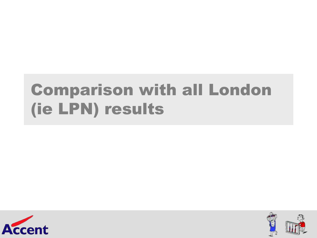## Comparison with all London (ie LPN) results



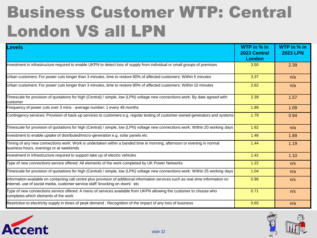### Business Customer WTP: Central London VS all LPN

| <b>Levels</b>                                                                                                                                                                                                       | WTP in % in<br>2023 Central<br>London | WTP in % in<br><b>2023 LPN</b> |
|---------------------------------------------------------------------------------------------------------------------------------------------------------------------------------------------------------------------|---------------------------------------|--------------------------------|
| Investment in infrastructure required to enable UKPN to detect loss of supply from individual or small groups of premises                                                                                           | 3.50                                  | 2.39                           |
| Urban customers: For power cuts longer than 3 minutes, time to restore 80% of affected customers: Within 5 minutes                                                                                                  | 3.37                                  | n/a                            |
| Urban customers: For power cuts longer than 3 minutes, time to restore 80% of affected customers: Within 10 minutes                                                                                                 | 2.62                                  | n/a                            |
| Timescale for provision of quotations for high (Central) / simple, low (LPN) voltage new connections work: By date agreed with<br>customer                                                                          | 2.39                                  | 1.57                           |
| Frequency of power cuts over 3 mins - average number: 1 every 48 months                                                                                                                                             | 1.89                                  | 1.09                           |
| Contingency services: Provision of back-up services to customers e.g. regular testing of customer-owned generators and systems                                                                                      | 1.79                                  | 0.94                           |
| Timescale for provision of quotations for high (Central) / simple, low (LPN) voltage new connections work: Within 20 working days                                                                                   | 1.62                                  | n/a                            |
| Investment to enable uptake of distributed/micro-generation e.g, solar panels etc                                                                                                                                   | 1.46                                  | 1.89                           |
| Timing of any new connections work: Work is undertaken within a banded time ie morning, afternoon or evening in normal<br>business hours, evenings or at weekends                                                   | 1.44                                  | 1.19                           |
| Investment in infrastructure required to support take up of electric vehicles                                                                                                                                       | 1.42                                  | 1.10                           |
| Type of new connections service offered: All elements of the work completed by UK Power Networks                                                                                                                    | 1.22                                  | n/s                            |
| Timescale for provision of quotations for high (Central) / simple, low (LPN) voltage new connections work: Within 25 working days                                                                                   | 1.04                                  | n/a                            |
| Information available on contacting call centre plus provision of additional information services such as real-time information on<br>internet, use of social media, customer service staff 'knocking on doors' etc | 0.96                                  | n/s                            |
| Type of new connections service offered: A menu of services available from UKPN allowing the customer to choose who<br>completes which elements of the work                                                         | 0.71                                  | n/s                            |
| Restriction to electricity supply in times of peak demand : Recognition of the impact of any loss of business                                                                                                       | 0.65                                  | n/a                            |



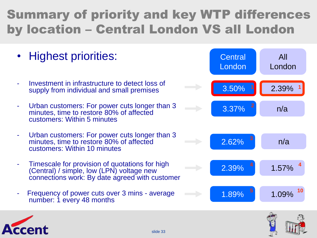#### Summary of priority and key WTP differences by location – Central London VS all London

- Highest priorities:
- Investment in infrastructure to detect loss of supply from individual and small premises
- Urban customers: For power cuts longer than 3 minutes, time to restore 80% of affected customers: Within 5 minutes
- Urban customers: For power cuts longer than 3 minutes, time to restore 80% of affected customers: Within 10 minutes
- Timescale for provision of quotations for high (Central) / simple, low (LPN) voltage new connections work: By date agreed with customer
- Frequency of power cuts over 3 mins average number: 1 every 48 months





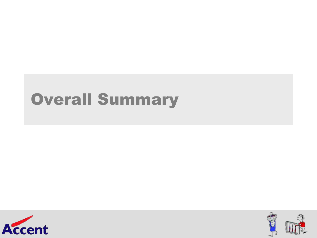### Overall Summary



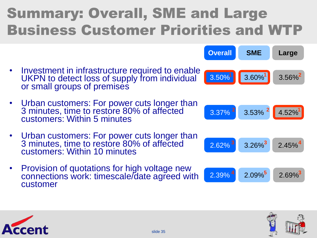### Summary: Overall, SME and Large Business Customer Priorities and WTP

- Investment in infrastructure required to enable UKPN to detect loss of supply from individual or small groups of premises
- Urban customers: For power cuts longer than 3 minutes, time to restore 80% of affected customers: Within 5 minutes
- Urban customers: For power cuts longer than 3 minutes, time to restore 80% of affected customers: Within 10 minutes
- Provision of quotations for high voltage new connections work: timescale/date agreed with customer



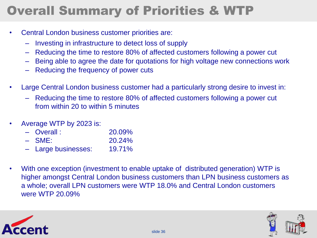#### Overall Summary of Priorities & WTP

- Central London business customer priorities are:
	- Investing in infrastructure to detect loss of supply
	- Reducing the time to restore 80% of affected customers following a power cut
	- Being able to agree the date for quotations for high voltage new connections work
	- Reducing the frequency of power cuts
- Large Central London business customer had a particularly strong desire to invest in:
	- Reducing the time to restore 80% of affected customers following a power cut from within 20 to within 5 minutes
- Average WTP by 2023 is:
	- Overall : 20.09%
	- SME: 20.24%
	- Large businesses: 19.71%
- With one exception (investment to enable uptake of distributed generation) WTP is higher amongst Central London business customers than LPN business customers as a whole; overall LPN customers were WTP 18.0% and Central London customers were WTP 20.09%



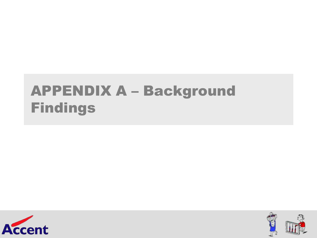### APPENDIX A – Background Findings



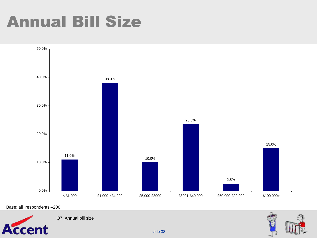### Annual Bill Size



Base: all respondents –200



Q7. Annual bill size

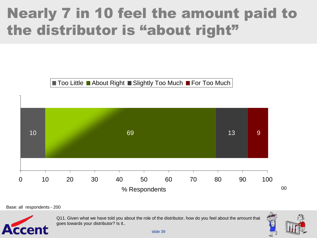### Nearly 7 in 10 feel the amount paid to the distributor is "about right"

 $\blacksquare$  Too Little  $\blacksquare$  About Right  $\blacksquare$  Slightly Too Much  $\blacksquare$  For Too Much



Base: all respondents - 200



Q11. Given what we have told you about the role of the distributor, how do you feel about the amount that goes towards your distributor? Is it..

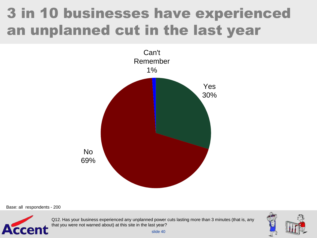### 3 in 10 businesses have experienced an unplanned cut in the last year





Q12. Has your business experienced any unplanned power cuts lasting more than 3 minutes (that is, any that you were not warned about) at this site in the last year?

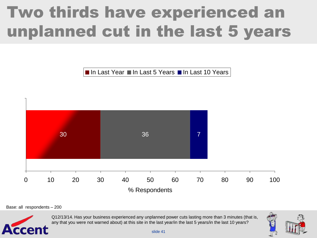## Two thirds have experienced an unplanned cut in the last 5 years

■ In Last Year ■ In Last 5 Years ■ In Last 10 Years



Base: all respondents – 200



Q12/13/14. Has your business experienced any unplanned power cuts lasting more than 3 minutes (that is, any that you were not warned about) at this site in the last year/in the last 5 years/in the last 10 years?

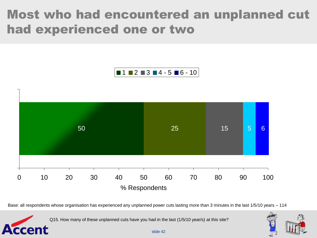#### Most who had encountered an unplanned cut had experienced one or two



Base: all respondents whose organisation has experienced any unplanned power cuts lasting more than 3 minutes in the last 1/5/10 years – 114

Q15. How many of these unplanned cuts have you had in the last (1/5/10 year/s) at this site?

Accent

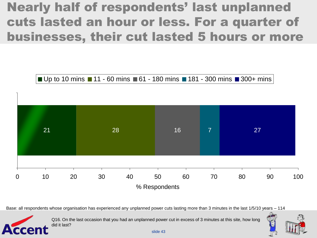#### Nearly half of respondents' last unplanned cuts lasted an hour or less. For a quarter of businesses, their cut lasted 5 hours or more

■ Up to 10 mins ■ 11 - 60 mins ■ 61 - 180 mins ■ 181 - 300 mins ■ 300+ mins



Base: all respondents whose organisation has experienced any unplanned power cuts lasting more than 3 minutes in the last 1/5/10 years – 114



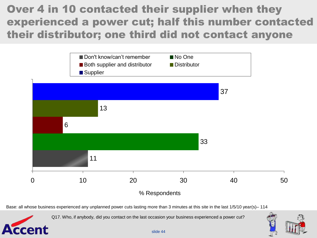#### Over 4 in 10 contacted their supplier when they experienced a power cut; half this number contacted their distributor; one third did not contact anyone



Base: all whose business experienced any unplanned power cuts lasting more than 3 minutes at this site in the last 1/5/10 year(s)– 114

Q17. Who, if anybody, did you contact on the last occasion your business experienced a power cut?

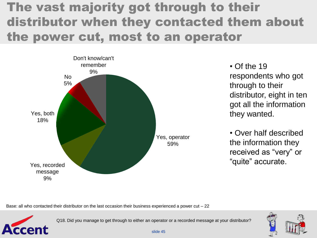#### The vast majority got through to their distributor when they contacted them about the power cut, most to an operator



 $\cdot$  Of the 19 respondents who got through to their distributor, eight in ten got all the information they wanted.

• Over half described the information they received as "very" or "quite" accurate.

Base: all who contacted their distributor on the last occasion their business experienced a power cut  $-22$ 



Q18. Did you manage to get through to either an operator or a recorded message at your distributor?

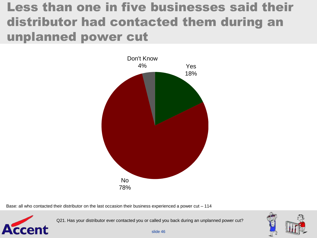#### Less than one in five businesses said their distributor had contacted them during an unplanned power cut



Base: all who contacted their distributor on the last occasion their business experienced a power cut - 114



Q21. Has your distributor ever contacted you or called you back during an unplanned power cut?

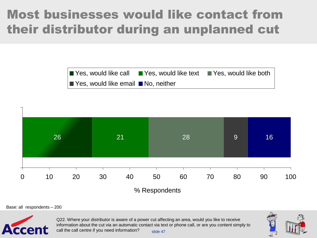#### Most businesses would like contact from their distributor during an unplanned cut





Base: all respondents – 200



slide 47 Q22. Where your distributor is aware of a power cut affecting an area, would you like to receive information about the cut via an automatic contact via text or phone call, or are you content simply to call the call centre if you need information?

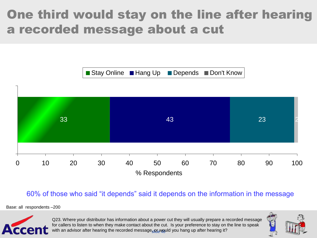#### One third would stay on the line after hearing a recorded message about a cut



60% of those who said "it depends" said it depends on the information in the message

Base: all respondents –200



with an advisor after hearing the recorded message<sub>si</sub>or would you hang up after hearing it? Q23. Where your distributor has information about a power cut they will usually prepare a recorded message for callers to listen to when they make contact about the cut. Is your preference to stay on the line to speak

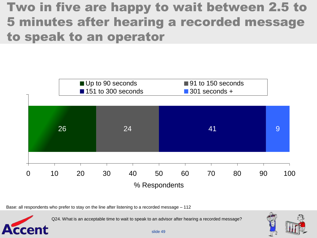#### Two in five are happy to wait between 2.5 to 5 minutes after hearing a recorded message to speak to an operator



Base: all respondents who prefer to stay on the line after listening to a recorded message – 112

Accent

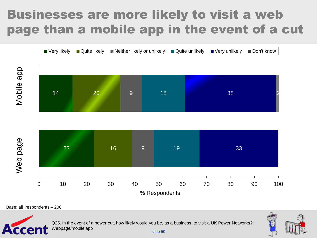#### Businesses are more likely to visit a web page than a mobile app in the event of a cut



Base: all respondents – 200



Q25. In the event of a power cut, how likely would you be, as a business, to visit a UK Power Networks?: Webpage/mobile app

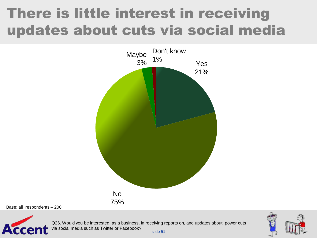### There is little interest in receiving updates about cuts via social media



Base: all respondents – 200



slide 51 Q26. Would you be interested, as a business, in receiving reports on, and updates about, power cuts via social media such as Twitter or Facebook?

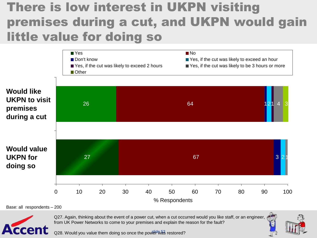#### There is low interest in UKPN visiting premises during a cut, and UKPN would gain little value for doing so



Base: all respondents – 200



Q27. Again, thinking about the event of a power cut, when a cut occurred would you like staff, or an engineer, from UK Power Networks to come to your premises and explain the reason for the fault?



Q28. Would you value them doing so once the power was restored?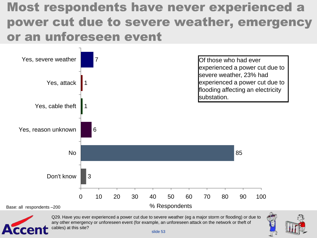#### Most respondents have never experienced a power cut due to severe weather, emergency or an unforeseen event





Q29. Have you ever experienced a power cut due to severe weather (eg a major storm or flooding) or due to any other emergency or unforeseen event (for example, an unforeseen attack on the network or theft of cables) at this site?

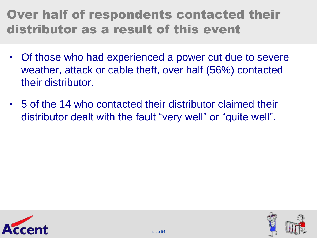#### Over half of respondents contacted their distributor as a result of this event

- Of those who had experienced a power cut due to severe weather, attack or cable theft, over half (56%) contacted their distributor.
- 5 of the 14 who contacted their distributor claimed their distributor dealt with the fault "very well" or "quite well".



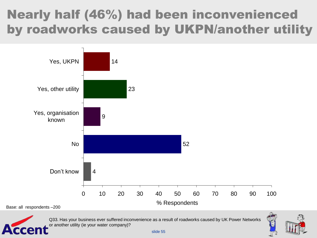#### Nearly half (46%) had been inconvenienced by roadworks caused by UKPN/another utility



Q33. Has your business ever suffered inconvenience as a result of roadworks caused by UK Power Networks or another utility (ie your water company)?

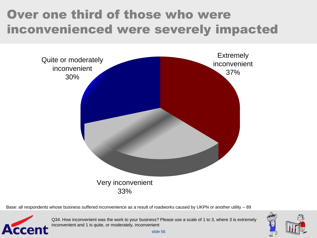#### Over one third of those who were inconvenienced were severely impacted



Base: all respondents whose business suffered inconvenience as a result of roadworks caused by UKPN or another utility – 89



Q34. How inconvenient was the work to your business? Please use a scale of 1 to 3, where 3 is extremely inconvenient and 1 is quite, or moderately, inconvenient

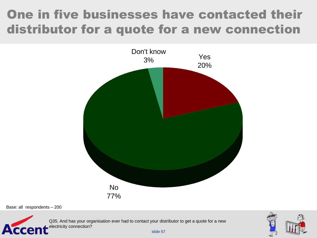#### One in five businesses have contacted their distributor for a quote for a new connection



Base: all respondents – 200

Acce

Q35. And has your organisation ever had to contact your distributor to get a quote for a new electricity connection?

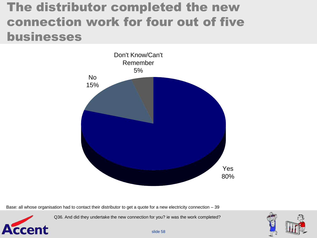#### The distributor completed the new connection work for four out of five businesses



Base: all whose organisation had to contact their distributor to get a quote for a new electricity connection – 39

Accent

Q36. And did they undertake the new connection for you? ie was the work completed?



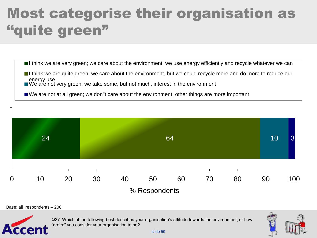### Most categorise their organisation as "quite green"



- I think we are quite green; we care about the environment, but we could recycle more and do more to reduce our energy use
- $\blacksquare$  We are not very green; we take some, but not much, interest in the environment
- We are not at all green; we don''t care about the environment, other things are more important



Base: all respondents – 200



Q37. Which of the following best describes your organisation"s attitude towards the environment, or how